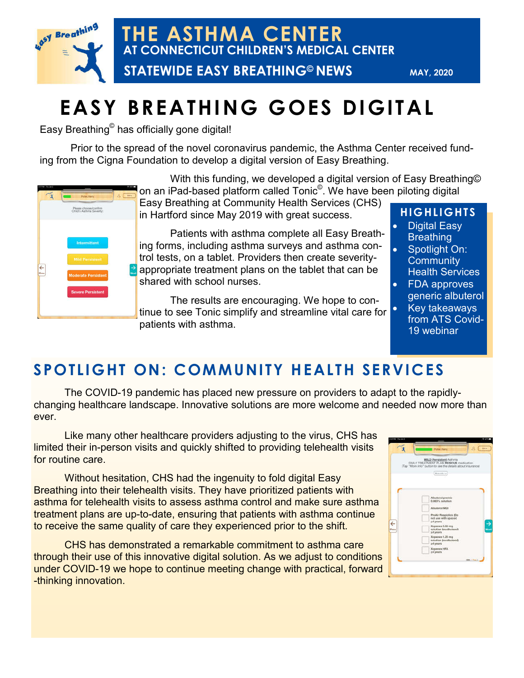

**THE ASTHMA CENTER AT CONNECTICUT CHILDREN'S MEDICAL CENTER**

 **STATEWIDE EASY BREATHING© NEWS**

**MAY, 2020**

# **EASY BREATHING GOES DIGITAL**

Easy Breathing© has officially gone digital!

Prior to the spread of the novel coronavirus pandemic, the Asthma Center received funding from the Cigna Foundation to develop a digital version of Easy Breathing.



With this funding, we developed a digital version of Easy Breathing© on an iPad-based platform called Tonic<sup>©</sup>. We have been piloting digital

Easy Breathing at Community Health Services (CHS) in Hartford since May 2019 with great success.

Patients with asthma complete all Easy Breathing forms, including asthma surveys and asthma control tests, on a tablet. Providers then create severityappropriate treatment plans on the tablet that can be shared with school nurses.

The results are encouraging. We hope to continue to see Tonic simplify and streamline vital care for patients with asthma.

### **HIGHLIGHTS**

- Digital Easy **Breathing**
- Spotlight On: **Community** Health Services
- FDA approves generic albuterol
- Key takeaways from ATS Covid-19 webinar

### **SPOTLIGHT ON: COMMUNITY HEALTH SERVICES**

The COVID-19 pandemic has placed new pressure on providers to adapt to the rapidlychanging healthcare landscape. Innovative solutions are more welcome and needed now more than ever.

Like many other healthcare providers adjusting to the virus, CHS has limited their in-person visits and quickly shifted to providing telehealth visits for routine care.

Without hesitation, CHS had the ingenuity to fold digital Easy Breathing into their telehealth visits. They have prioritized patients with asthma for telehealth visits to assess asthma control and make sure asthma treatment plans are up-to-date, ensuring that patients with asthma continue to receive the same quality of care they experienced prior to the shift.

CHS has demonstrated a remarkable commitment to asthma care through their use of this innovative digital solution. As we adjust to conditions under COVID-19 we hope to continue meeting change with practical, forward -thinking innovation.

|           | Putter flam:                                                                                                                     | 凡<br>Minte |
|-----------|----------------------------------------------------------------------------------------------------------------------------------|------------|
|           | MILD Persistent Asthma<br>DAILY TREATMENT PLAN RESCUE madication.<br>(Top "More info" button to see the details about insurance) |            |
|           | More wing to                                                                                                                     |            |
|           |                                                                                                                                  |            |
|           |                                                                                                                                  |            |
|           | Albuterol premio.<br>$0.083\%$ solution                                                                                          |            |
|           | Albuterol MDI                                                                                                                    |            |
|           | ProAir Respictick (Do<br>not use with spaced.<br>24 years                                                                        |            |
| ←<br>Pray | Xoponex 0.63 mg<br>doublettes developed<br>24 years                                                                              | Nox        |
|           | Xopenex 1.25 mg<br>solution (leva/buterol)<br>a 4 years                                                                          |            |
|           | <b>Xopenex HFA</b><br>54 years                                                                                                   |            |
|           |                                                                                                                                  |            |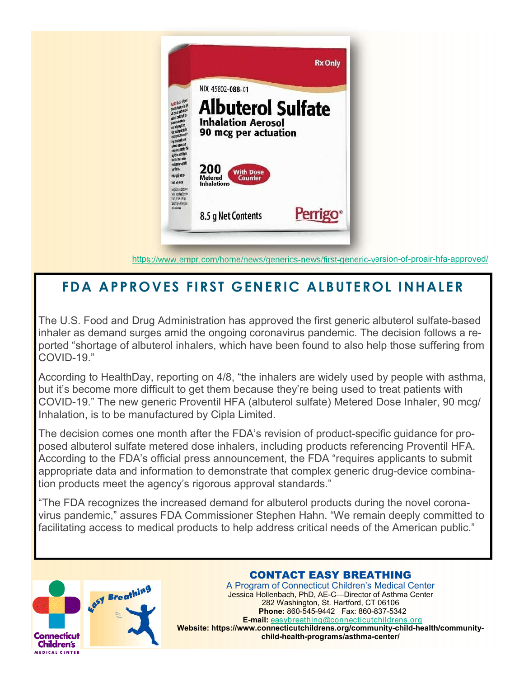

https://www.empr.com/home/news/generics-news/first-generic-version-of-proair-hfa-approved/

### **FDA APPROVES FIRST GENERIC ALBUTEROL INHALER**

The U.S. Food and Drug Administration has approved the first generic albuterol sulfate-based inhaler as demand surges amid the ongoing coronavirus pandemic. The decision follows a reported "shortage of albuterol inhalers, which have been found to also help those suffering from COVID-19."

According to HealthDay, reporting on 4/8, "the inhalers are widely used by people with asthma, but it's become more difficult to get them because they're being used to treat patients with COVID-19." The new generic Proventil HFA (albuterol sulfate) Metered Dose Inhaler, 90 mcg/ Inhalation, is to be manufactured by Cipla Limited.

The decision comes one month after the FDA's revision of product-specific guidance for proposed albuterol sulfate metered dose inhalers, including products referencing Proventil HFA. According to the FDA's official press announcement, the FDA "requires applicants to submit appropriate data and information to demonstrate that complex generic drug-device combination products meet the agency's rigorous approval standards."

"The FDA recognizes the increased demand for albuterol products during the novel coronavirus pandemic," assures FDA Commissioner Stephen Hahn. "We remain deeply committed to facilitating access to medical products to help address critical needs of the American public."



#### CONTACT EASY BREATHING CONTACT EASY BREATHING

A Program of Connecticut Children's Medical Center 282 Washington, St. Hartford, CT 06106 Jessica Hollenbach, PhD, AE-C—Director of Asthma Center **Phone: Basil, Phone:** *Phone: 860-845-882* Washington, St. Hartford, CT 06106 **E-mail: 202 Mail: Phone: 860-545-9442** Fax: 860-837-5342 **E-mail: E-mail:** easybreathing@connecticutchildrens.org **child-health-programs/asthma-center/ Website: https://www.connecticutchildrens.org/community-child-health/communitychild-health-programs/asthma-center/**